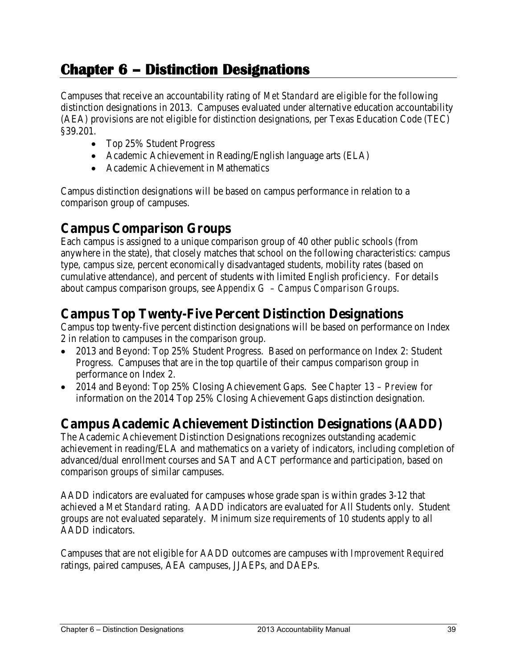# **Chapter 6 – Distinction Designations**

Campuses that receive an accountability rating of *Met Standard* are eligible for the following distinction designations in 2013. Campuses evaluated under alternative education accountability (AEA) provisions are not eligible for distinction designations, per Texas Education Code (TEC) §39.201.

- Top 25% Student Progress
- Academic Achievement in Reading/English language arts (ELA)
- Academic Achievement in Mathematics

Campus distinction designations will be based on campus performance in relation to a comparison group of campuses.

## **Campus Comparison Groups**

Each campus is assigned to a unique comparison group of 40 other public schools (from anywhere in the state), that closely matches that school on the following characteristics: campus type, campus size, percent economically disadvantaged students, mobility rates (based on cumulative attendance), and percent of students with limited English proficiency. For details about campus comparison groups, see *Appendix G – Campus Comparison Groups*.

## **Campus Top Twenty-Five Percent Distinction Designations**

Campus top twenty-five percent distinction designations will be based on performance on Index 2 in relation to campuses in the comparison group.

- 2013 and Beyond: Top 25% Student Progress. Based on performance on Index 2: Student Progress. Campuses that are in the top quartile of their campus comparison group in performance on Index 2.
- 2014 and Beyond: Top 25% Closing Achievement Gaps. See *Chapter 13 Preview* for information on the 2014 Top 25% Closing Achievement Gaps distinction designation.

## **Campus Academic Achievement Distinction Designations (AADD)**

The Academic Achievement Distinction Designations recognizes outstanding academic achievement in reading/ELA and mathematics on a variety of indicators, including completion of advanced/dual enrollment courses and SAT and ACT performance and participation, based on comparison groups of similar campuses.

AADD indicators are evaluated for campuses whose grade span is within grades 3-12 that achieved a *Met Standard* rating. AADD indicators are evaluated for All Students only. Student groups are not evaluated separately. Minimum size requirements of 10 students apply to all AADD indicators.

Campuses that are not eligible for AADD outcomes are campuses with *Improvement Required* ratings, paired campuses, AEA campuses, JJAEPs, and DAEPs.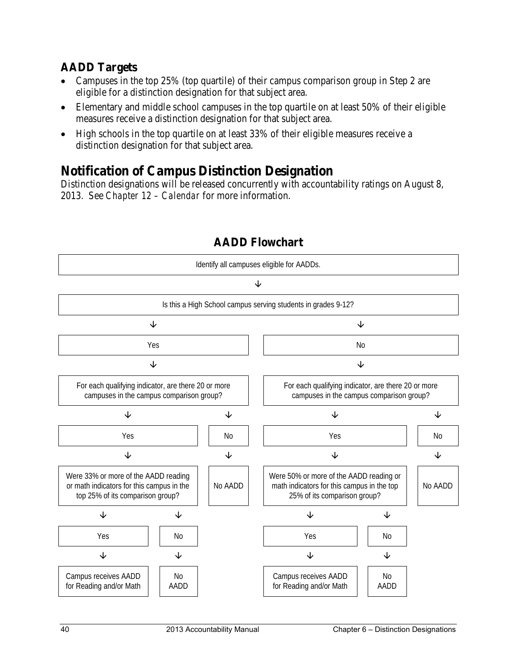## **AADD Targets**

- Campuses in the top 25% (top quartile) of their campus comparison group in Step 2 are eligible for a distinction designation for that subject area.
- Elementary and middle school campuses in the top quartile on at least 50% of their eligible measures receive a distinction designation for that subject area.
- High schools in the top quartile on at least 33% of their eligible measures receive a distinction designation for that subject area.

## **Notification of Campus Distinction Designation**

Distinction designations will be released concurrently with accountability ratings on August 8, 2013. See *Chapter 12 – Calendar* for more information.



## **AADD Flowchart**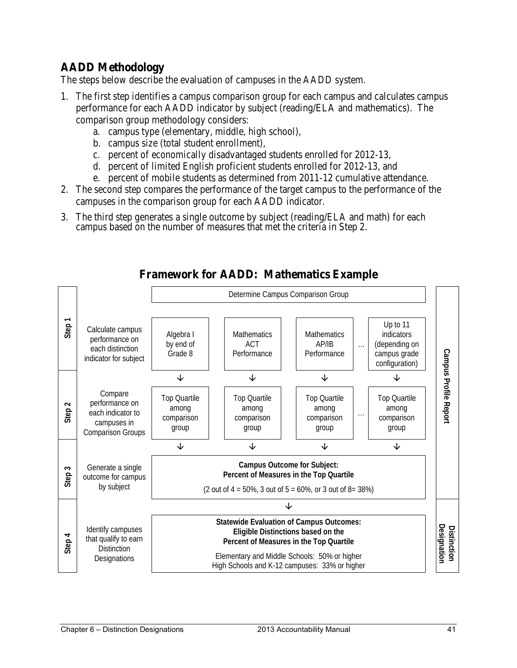## **AADD Methodology**

The steps below describe the evaluation of campuses in the AADD system.

- 1. The first step identifies a campus comparison group for each campus and calculates campus performance for each AADD indicator by subject (reading/ELA and mathematics). The comparison group methodology considers:
	- a. campus type (elementary, middle, high school),
	- b. campus size (total student enrollment),
	- c. percent of economically disadvantaged students enrolled for 2012-13,
	- d. percent of limited English proficient students enrolled for 2012-13, and
	- e. percent of mobile students as determined from 2011-12 cumulative attendance.
- 2. The second step compares the performance of the target campus to the performance of the campuses in the comparison group for each AADD indicator.
- 3. The third step generates a single outcome by subject (reading/ELA and math) for each campus based on the number of measures that met the criteria in Step 2.



## **Framework for AADD: Mathematics Example**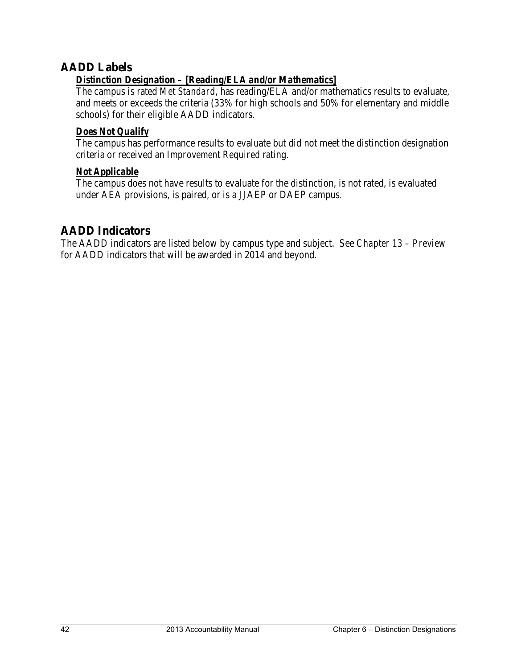## **AADD Labels**

## *Distinction Designation – [Reading/ELA and/or Mathematics]*

The campus is rated *Met Standard*, has reading/ELA and/or mathematics results to evaluate, and meets or exceeds the criteria (33% for high schools and 50% for elementary and middle schools) for their eligible AADD indicators.

#### *Does Not Qualify*

The campus has performance results to evaluate but did not meet the distinction designation criteria or received an *Improvement Required* rating.

#### *Not Applicable*

The campus does not have results to evaluate for the distinction, is not rated, is evaluated under AEA provisions, is paired, or is a JJAEP or DAEP campus.

## **AADD Indicators**

The AADD indicators are listed below by campus type and subject. See *Chapter 13 – Preview* for AADD indicators that will be awarded in 2014 and beyond.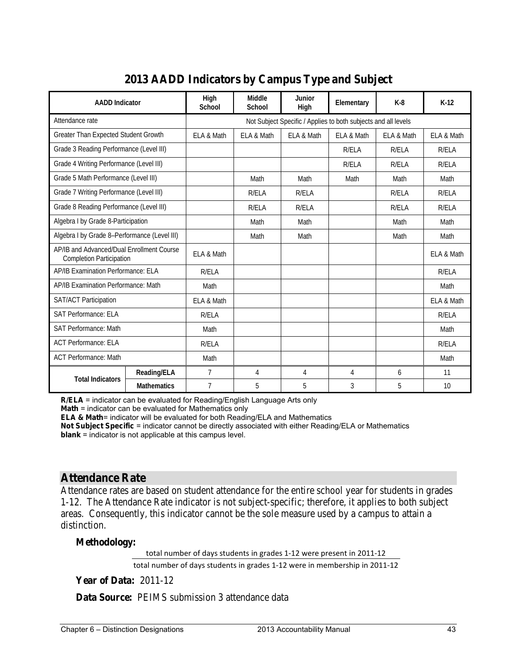| <b>AADD</b> Indicator                                                        |                    | High<br>School                                                 | Middle<br>School | Junior<br>High | Elementary   | $K-8$      | $K-12$     |
|------------------------------------------------------------------------------|--------------------|----------------------------------------------------------------|------------------|----------------|--------------|------------|------------|
| Attendance rate                                                              |                    | Not Subject Specific / Applies to both subjects and all levels |                  |                |              |            |            |
| Greater Than Expected Student Growth                                         |                    | ELA & Math                                                     | ELA & Math       | ELA & Math     | ELA & Math   | ELA & Math | ELA & Math |
| Grade 3 Reading Performance (Level III)                                      |                    |                                                                |                  |                | R/ELA        | R/ELA      | R/ELA      |
| Grade 4 Writing Performance (Level III)                                      |                    |                                                                |                  |                | <b>R/ELA</b> | R/ELA      | R/ELA      |
| Grade 5 Math Performance (Level III)                                         |                    |                                                                | Math             | Math           | Math         | Math       | Math       |
| Grade 7 Writing Performance (Level III)                                      |                    |                                                                | R/ELA            | R/ELA          |              | R/ELA      | R/ELA      |
| Grade 8 Reading Performance (Level III)                                      |                    |                                                                | R/ELA            | R/ELA          |              | R/ELA      | R/ELA      |
| Algebra I by Grade 8-Participation                                           |                    |                                                                | Math             | Math           |              | Math       | Math       |
| Algebra I by Grade 8-Performance (Level III)                                 |                    |                                                                | Math             | Math           |              | Math       | Math       |
| AP/IB and Advanced/Dual Enrollment Course<br><b>Completion Participation</b> |                    | ELA & Math                                                     |                  |                |              |            | ELA & Math |
| AP/IB Examination Performance: ELA                                           |                    | R/ELA                                                          |                  |                |              |            | R/ELA      |
| AP/IB Examination Performance: Math                                          |                    | Math                                                           |                  |                |              |            | Math       |
| <b>SAT/ACT Participation</b>                                                 |                    | ELA & Math                                                     |                  |                |              |            | ELA & Math |
| <b>SAT Performance: ELA</b>                                                  |                    | R/ELA                                                          |                  |                |              |            | R/ELA      |
| <b>SAT Performance: Math</b>                                                 |                    | Math                                                           |                  |                |              |            | Math       |
| <b>ACT Performance: ELA</b>                                                  |                    | R/ELA                                                          |                  |                |              |            | R/ELA      |
| <b>ACT Performance: Math</b>                                                 |                    | Math                                                           |                  |                |              |            | Math       |
| <b>Total Indicators</b>                                                      | Reading/ELA        | 7                                                              | 4                | 4              | 4            | 6          | 11         |
|                                                                              | <b>Mathematics</b> | $\overline{7}$                                                 | 5                | 5              | 3            | 5          | 10         |

## **2013 AADD Indicators by Campus Type and Subject**

**R/ELA** = indicator can be evaluated for Reading/English Language Arts only

**Math** = indicator can be evaluated for Mathematics only

**ELA & Math**= indicator will be evaluated for both Reading/ELA and Mathematics

**Not Subject Specific** = indicator cannot be directly associated with either Reading/ELA or Mathematics **blank** = indicator is not applicable at this campus level.

#### **Attendance Rate**

Attendance rates are based on student attendance for the entire school year for students in grades 1-12. The Attendance Rate indicator is not subject-specific; therefore, it applies to both subject areas. Consequently, this indicator cannot be the sole measure used by a campus to attain a distinction.

**Methodology:** 

total number of days students in grades 1-12 were present in 2011-12

total number of days students in grades 1-12 were in membership in 2011-12

**Year of Data:** 2011-12

**Data Source:** PEIMS submission 3 attendance data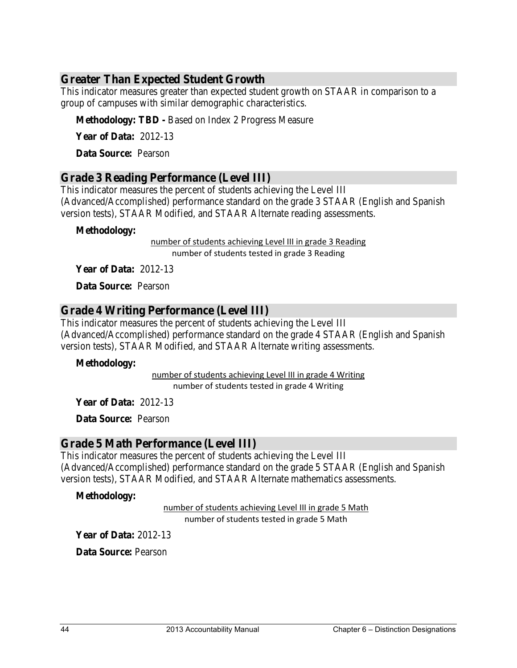## **Greater Than Expected Student Growth**

This indicator measures greater than expected student growth on STAAR in comparison to a group of campuses with similar demographic characteristics.

**Methodology: TBD -** Based on Index 2 Progress Measure

**Year of Data:** 2012-13

**Data Source:** Pearson

## **Grade 3 Reading Performance (Level III)**

This indicator measures the percent of students achieving the Level III (Advanced/Accomplished) performance standard on the grade 3 STAAR (English and Spanish version tests), STAAR Modified, and STAAR Alternate reading assessments.

#### **Methodology:**

number of students achieving Level III in grade 3 Reading number of students tested in grade 3 Reading

**Year of Data:** 2012-13

**Data Source:** Pearson

#### **Grade 4 Writing Performance (Level III)**

This indicator measures the percent of students achieving the Level III (Advanced/Accomplished) performance standard on the grade 4 STAAR (English and Spanish version tests), STAAR Modified, and STAAR Alternate writing assessments.

#### **Methodology:**

number of students tested in grade 4 Writing number of students achieving Level III in grade 4 Writing

**Year of Data:** 2012-13

**Data Source:** Pearson

#### **Grade 5 Math Performance (Level III)**

This indicator measures the percent of students achieving the Level III (Advanced/Accomplished) performance standard on the grade 5 STAAR (English and Spanish version tests), STAAR Modified, and STAAR Alternate mathematics assessments.

#### **Methodology:**

number of students tested in grade 5 Math number of students achieving Level III in grade 5 Math

**Year of Data:** 2012-13

**Data Source:** Pearson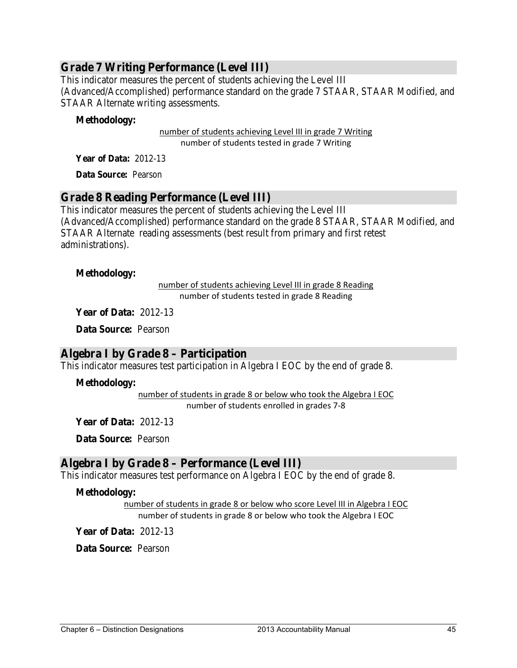## **Grade 7 Writing Performance (Level III)**

This indicator measures the percent of students achieving the Level III (Advanced/Accomplished) performance standard on the grade 7 STAAR, STAAR Modified, and STAAR Alternate writing assessments.

#### **Methodology:**

number of students tested in grade 7 Writing number of students achieving Level III in grade 7 Writing

**Year of Data:** 2012-13

**Data Source:** Pearson

#### **Grade 8 Reading Performance (Level III)**

This indicator measures the percent of students achieving the Level III (Advanced/Accomplished) performance standard on the grade 8 STAAR, STAAR Modified, and STAAR Alternate reading assessments (best result from primary and first retest administrations).

#### **Methodology:**

number of students tested in grade 8 Reading number of students achieving Level III in grade 8 Reading

**Year of Data:** 2012-13

**Data Source:** Pearson

### **Algebra I by Grade 8 – Participation**

This indicator measures test participation in Algebra I EOC by the end of grade 8.

#### **Methodology:**

number of students in grade 8 or below who took the Algebra I EOC number of students enrolled in grades 7-8

**Year of Data:** 2012-13

**Data Source:** Pearson

### **Algebra I by Grade 8 – Performance (Level III)**

This indicator measures test performance on Algebra I EOC by the end of grade 8.

#### **Methodology:**

number of students in grade 8 or below who score Level III in Algebra I EOC number of students in grade 8 or below who took the Algebra I EOC

**Year of Data:** 2012-13

**Data Source:** Pearson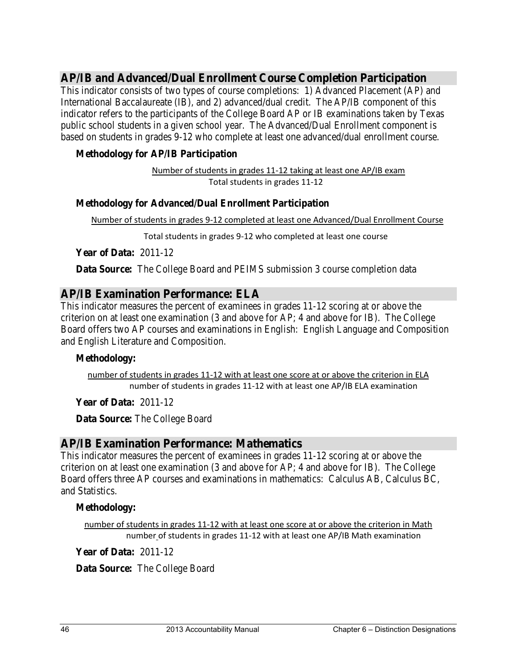## **AP/IB and Advanced/Dual Enrollment Course Completion Participation**

This indicator consists of two types of course completions: 1) Advanced Placement (AP) and International Baccalaureate (IB), and 2) advanced/dual credit. The AP/IB component of this indicator refers to the participants of the College Board AP or IB examinations taken by Texas public school students in a given school year. The Advanced/Dual Enrollment component is based on students in grades 9-12 who complete at least one advanced/dual enrollment course.

#### **Methodology for AP/IB Participation**

Total students in grades 11-12 Number of students in grades 11-12 taking at least one AP/IB exam

#### **Methodology for Advanced/Dual Enrollment Participation**

Number of students in grades 9-12 completed at least one Advanced/Dual Enrollment Course

Total students in grades 9-12 who completed at least one course

**Year of Data:** 2011-12

**Data Source:** The College Board and PEIMS submission 3 course completion data

## **AP/IB Examination Performance: ELA**

This indicator measures the percent of examinees in grades 11-12 scoring at or above the criterion on at least one examination (3 and above for AP; 4 and above for IB). The College Board offers two AP courses and examinations in English: English Language and Composition and English Literature and Composition.

#### **Methodology:**

number of students in grades 11-12 with at least one AP/IB ELA examination number of students in grades 11-12 with at least one score at or above the criterion in ELA

**Year of Data:** 2011-12

**Data Source:** The College Board

### **AP/IB Examination Performance: Mathematics**

This indicator measures the percent of examinees in grades 11-12 scoring at or above the criterion on at least one examination (3 and above for AP; 4 and above for IB). The College Board offers three AP courses and examinations in mathematics: Calculus AB, Calculus BC, and Statistics.

#### **Methodology:**

number of students in grades 11-12 with at least one AP/IB Math examination number of students in grades 11-12 with at least one score at or above the criterion in Math

**Year of Data:** 2011-12

**Data Source:** The College Board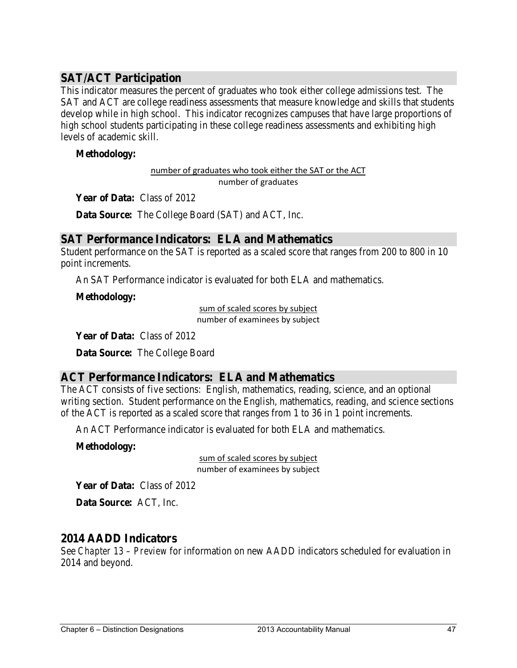## **SAT/ACT Participation**

This indicator measures the percent of graduates who took either college admissions test. The SAT and ACT are college readiness assessments that measure knowledge and skills that students develop while in high school. This indicator recognizes campuses that have large proportions of high school students participating in these college readiness assessments and exhibiting high levels of academic skill.

#### **Methodology:**

number of graduates who took either the SAT or the ACT number of graduates

**Year of Data:** Class of 2012

**Data Source:** The College Board (SAT) and ACT, Inc.

### **SAT Performance Indicators: ELA and Mathematics**

Student performance on the SAT is reported as a scaled score that ranges from 200 to 800 in 10 point increments.

An SAT Performance indicator is evaluated for both ELA and mathematics.

**Methodology:**

sum of scaled scores by subject number of examinees by subject

**Year of Data:** Class of 2012

**Data Source:** The College Board

### **ACT Performance Indicators: ELA and Mathematics**

The ACT consists of five sections: English, mathematics, reading, science, and an optional writing section. Student performance on the English, mathematics, reading, and science sections of the ACT is reported as a scaled score that ranges from 1 to 36 in 1 point increments.

An ACT Performance indicator is evaluated for both ELA and mathematics.

#### **Methodology:**

sum of scaled scores by subject number of examinees by subject

**Year of Data:** Class of 2012

**Data Source:** ACT, Inc.

### **2014 AADD Indicators**

See *Chapter 13 – Preview* for information on new AADD indicators scheduled for evaluation in 2014 and beyond.